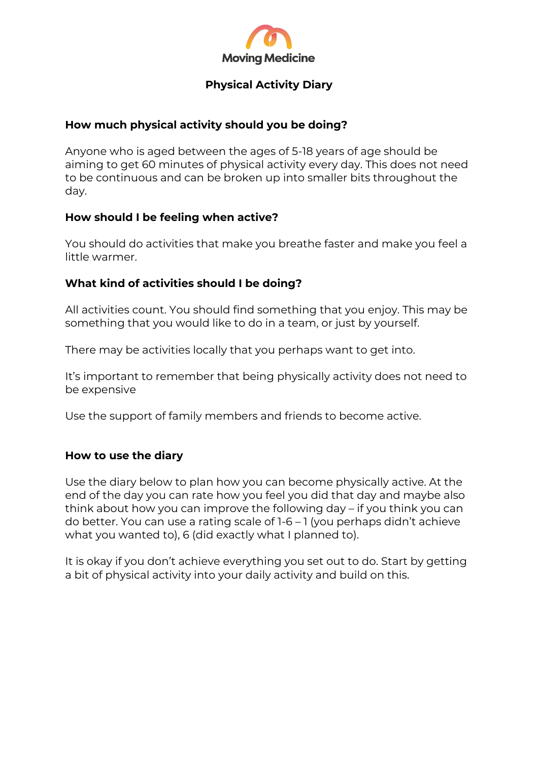

# **Physical Activity Diary**

### **How much physical activity should you be doing?**

Anyone who is aged between the ages of 5-18 years of age should be aiming to get 60 minutes of physical activity every day. This does not need to be continuous and can be broken up into smaller bits throughout the day.

# **How should I be feeling when active?**

You should do activities that make you breathe faster and make you feel a little warmer.

# **What kind of activities should I be doing?**

All activities count. You should find something that you enjoy. This may be something that you would like to do in a team, or just by yourself.

There may be activities locally that you perhaps want to get into.

It's important to remember that being physically activity does not need to be expensive

Use the support of family members and friends to become active.

### **How to use the diary**

Use the diary below to plan how you can become physically active. At the end of the day you can rate how you feel you did that day and maybe also think about how you can improve the following day – if you think you can do better. You can use a rating scale of 1-6 – 1 (you perhaps didn't achieve what you wanted to), 6 (did exactly what I planned to).

It is okay if you don't achieve everything you set out to do. Start by getting a bit of physical activity into your daily activity and build on this.